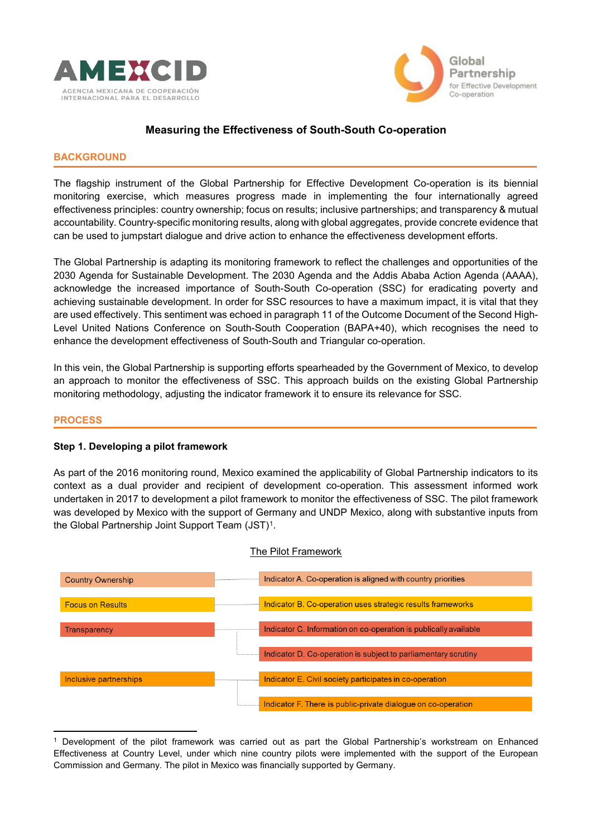



# **Measuring the Effectiveness of South-South Co-operation**

### **BACKGROUND**

The flagship instrument of the Global Partnership for Effective Development Co-operation is its biennial monitoring exercise, which measures progress made in implementing the four internationally agreed effectiveness principles: country ownership; focus on results; inclusive partnerships; and transparency & mutual accountability. Country-specific monitoring results, along with global aggregates, provide concrete evidence that can be used to jumpstart dialogue and drive action to enhance the effectiveness development efforts.

The Global Partnership is adapting its monitoring framework to reflect the challenges and opportunities of the 2030 Agenda for Sustainable Development. The 2030 Agenda and the Addis Ababa Action Agenda (AAAA), acknowledge the increased importance of South-South Co-operation (SSC) for eradicating poverty and achieving sustainable development. In order for SSC resources to have a maximum impact, it is vital that they are used effectively. This sentiment was echoed in paragraph 11 of the Outcome Document of the Second High-Level United Nations Conference on South-South Cooperation (BAPA+40), which recognises the need to enhance the development effectiveness of South-South and Triangular co-operation.

In this vein, the Global Partnership is supporting efforts spearheaded by the Government of Mexico, to develop an approach to monitor the effectiveness of SSC. This approach builds on the existing Global Partnership monitoring methodology, adjusting the indicator framework it to ensure its relevance for SSC.

#### **PROCESS**

## **Step 1. Developing a pilot framework**

As part of the 2016 monitoring round, Mexico examined the applicability of Global Partnership indicators to its context as a dual provider and recipient of development co-operation. This assessment informed work undertaken in 2017 to development a pilot framework to monitor the effectiveness of SSC. The pilot framework was developed by Mexico with the support of Germany and UNDP Mexico, along with substantive inputs from the Global Partnership Joint Support Team (JST)<sup>1</sup>.



#### The Pilot Framework

 $\overline{a}$ <sup>1</sup> Development of the pilot framework was carried out as part the Global Partnership's workstream on Enhanced Effectiveness at Country Level, under which nine country pilots were implemented with the support of the European Commission and Germany. The pilot in Mexico was financially supported by Germany.